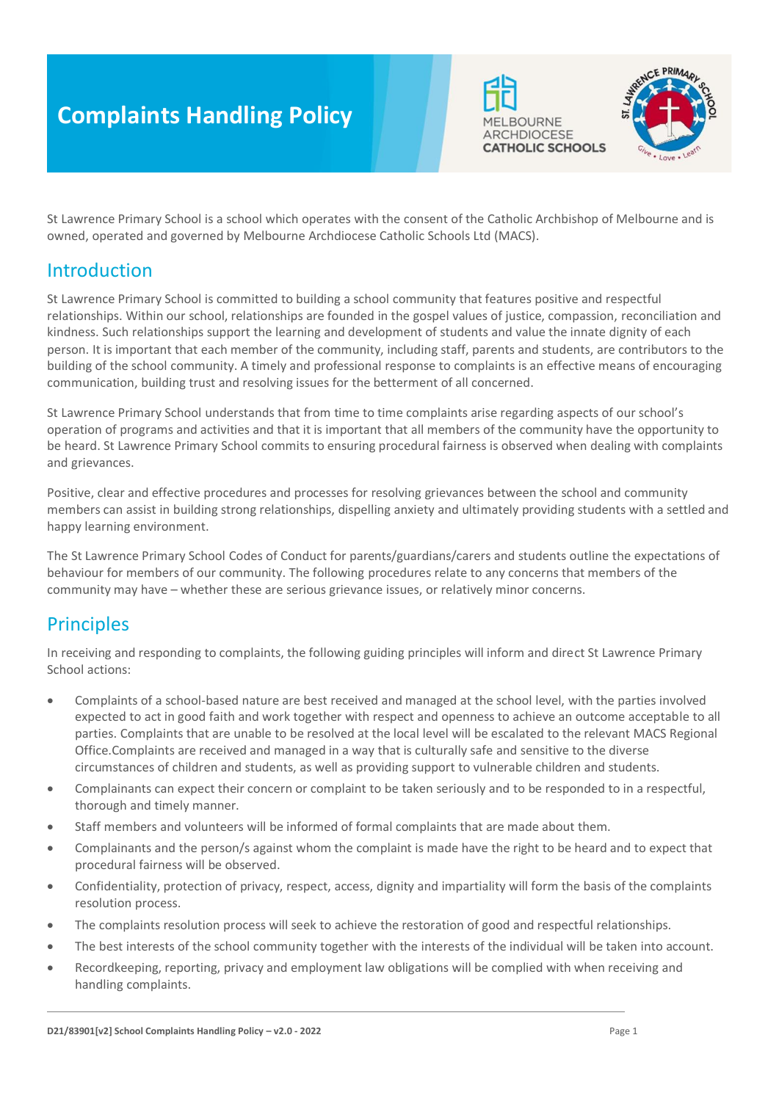# **Complaints Handling Policy**





St Lawrence Primary School is a school which operates with the consent of the Catholic Archbishop of Melbourne and is owned, operated and governed by Melbourne Archdiocese Catholic Schools Ltd (MACS).

### Introduction

St Lawrence Primary School is committed to building a school community that features positive and respectful relationships. Within our school, relationships are founded in the gospel values of justice, compassion, reconciliation and kindness. Such relationships support the learning and development of students and value the innate dignity of each person. It is important that each member of the community, including staff, parents and students, are contributors to the building of the school community. A timely and professional response to complaints is an effective means of encouraging communication, building trust and resolving issues for the betterment of all concerned.

St Lawrence Primary School understands that from time to time complaints arise regarding aspects of our school's operation of programs and activities and that it is important that all members of the community have the opportunity to be heard. St Lawrence Primary School commits to ensuring procedural fairness is observed when dealing with complaints and grievances.

Positive, clear and effective procedures and processes for resolving grievances between the school and community members can assist in building strong relationships, dispelling anxiety and ultimately providing students with a settled and happy learning environment.

The St Lawrence Primary School Codes of Conduct for parents/guardians/carers and students outline the expectations of behaviour for members of our community. The following procedures relate to any concerns that members of the community may have – whether these are serious grievance issues, or relatively minor concerns.

# **Principles**

In receiving and responding to complaints, the following guiding principles will inform and direct St Lawrence Primary School actions:

- Complaints of a school-based nature are best received and managed at the school level, with the parties involved expected to act in good faith and work together with respect and openness to achieve an outcome acceptable to all parties. Complaints that are unable to be resolved at the local level will be escalated to the relevant MACS Regional Office.Complaints are received and managed in a way that is culturally safe and sensitive to the diverse circumstances of children and students, as well as providing support to vulnerable children and students.
- Complainants can expect their concern or complaint to be taken seriously and to be responded to in a respectful, thorough and timely manner.
- Staff members and volunteers will be informed of formal complaints that are made about them.
- Complainants and the person/s against whom the complaint is made have the right to be heard and to expect that procedural fairness will be observed.
- Confidentiality, protection of privacy, respect, access, dignity and impartiality will form the basis of the complaints resolution process.
- The complaints resolution process will seek to achieve the restoration of good and respectful relationships.
- The best interests of the school community together with the interests of the individual will be taken into account.
- Recordkeeping, reporting, privacy and employment law obligations will be complied with when receiving and handling complaints.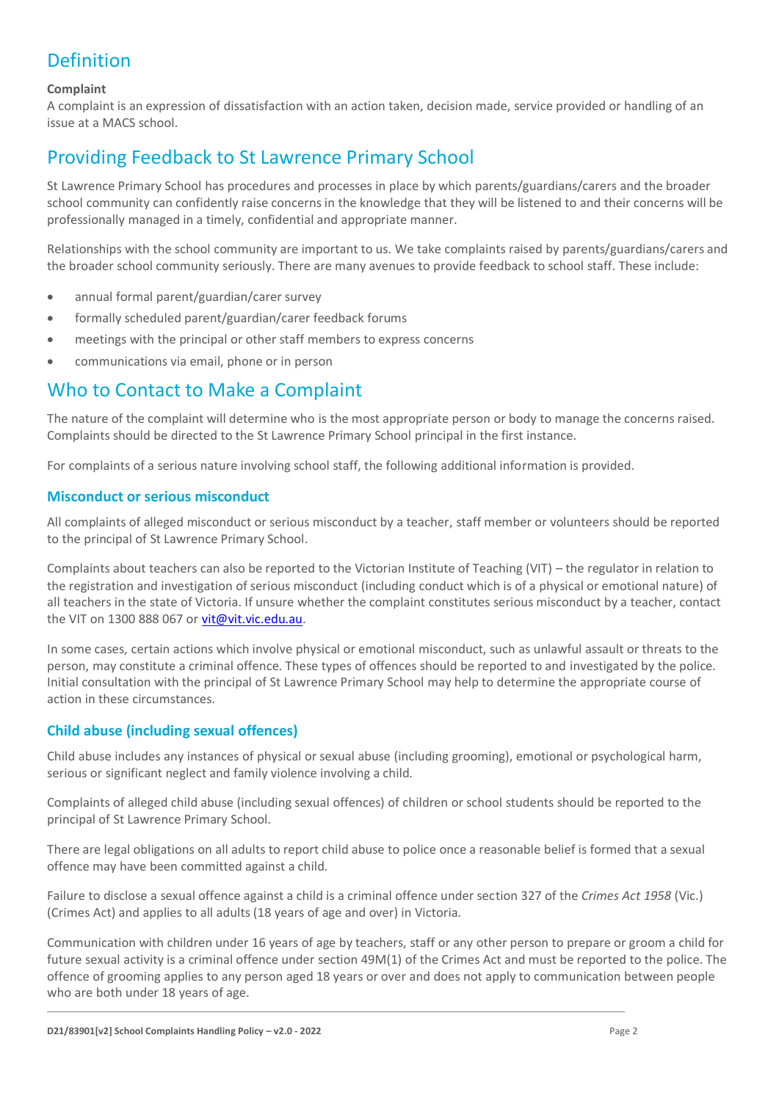# Definition

### **Complaint**

A complaint is an expression of dissatisfaction with an action taken, decision made, service provided or handling of an issue at a MACS school.

### Providing Feedback to St Lawrence Primary School

St Lawrence Primary School has procedures and processes in place by which parents/guardians/carers and the broader school community can confidently raise concerns in the knowledge that they will be listened to and their concerns will be professionally managed in a timely, confidential and appropriate manner.

Relationships with the school community are important to us. We take complaints raised by parents/guardians/carers and the broader school community seriously. There are many avenues to provide feedback to school staff. These include:

- annual formal parent/guardian/carer survey
- formally scheduled parent/guardian/carer feedback forums
- meetings with the principal or other staff members to express concerns
- communications via email, phone or in person

### Who to Contact to Make a Complaint

The nature of the complaint will determine who is the most appropriate person or body to manage the concerns raised. Complaints should be directed to the St Lawrence Primary School principal in the first instance.

For complaints of a serious nature involving school staff, the following additional information is provided.

#### **Misconduct or serious misconduct**

All complaints of alleged misconduct or serious misconduct by a teacher, staff member or volunteers should be reported to the principal of St Lawrence Primary School.

Complaints about teachers can also be reported to the Victorian Institute of Teaching (VIT) – the regulator in relation to the registration and investigation of serious misconduct (including conduct which is of a physical or emotional nature) of all teachers in the state of Victoria. If unsure whether the complaint constitutes serious misconduct by a teacher, contact the VIT on 1300 888 067 or [vit@vit.vic.edu.au.](mailto:vit@vit.vic.edu.au)

In some cases, certain actions which involve physical or emotional misconduct, such as unlawful assault or threats to the person, may constitute a criminal offence. These types of offences should be reported to and investigated by the police. Initial consultation with the principal of St Lawrence Primary School may help to determine the appropriate course of action in these circumstances.

### **Child abuse (including sexual offences)**

Child abuse includes any instances of physical or sexual abuse (including grooming), emotional or psychological harm, serious or significant neglect and family violence involving a child.

Complaints of alleged child abuse (including sexual offences) of children or school students should be reported to the principal of St Lawrence Primary School.

There are legal obligations on all adults to report child abuse to police once a reasonable belief is formed that a sexual offence may have been committed against a child.

Failure to disclose a sexual offence against a child is a criminal offence under section 327 of the *Crimes Act 1958* (Vic.) (Crimes Act) and applies to all adults (18 years of age and over) in Victoria.

Communication with children under 16 years of age by teachers, staff or any other person to prepare or groom a child for future sexual activity is a criminal offence under section 49M(1) of the Crimes Act and must be reported to the police. The offence of grooming applies to any person aged 18 years or over and does not apply to communication between people who are both under 18 years of age.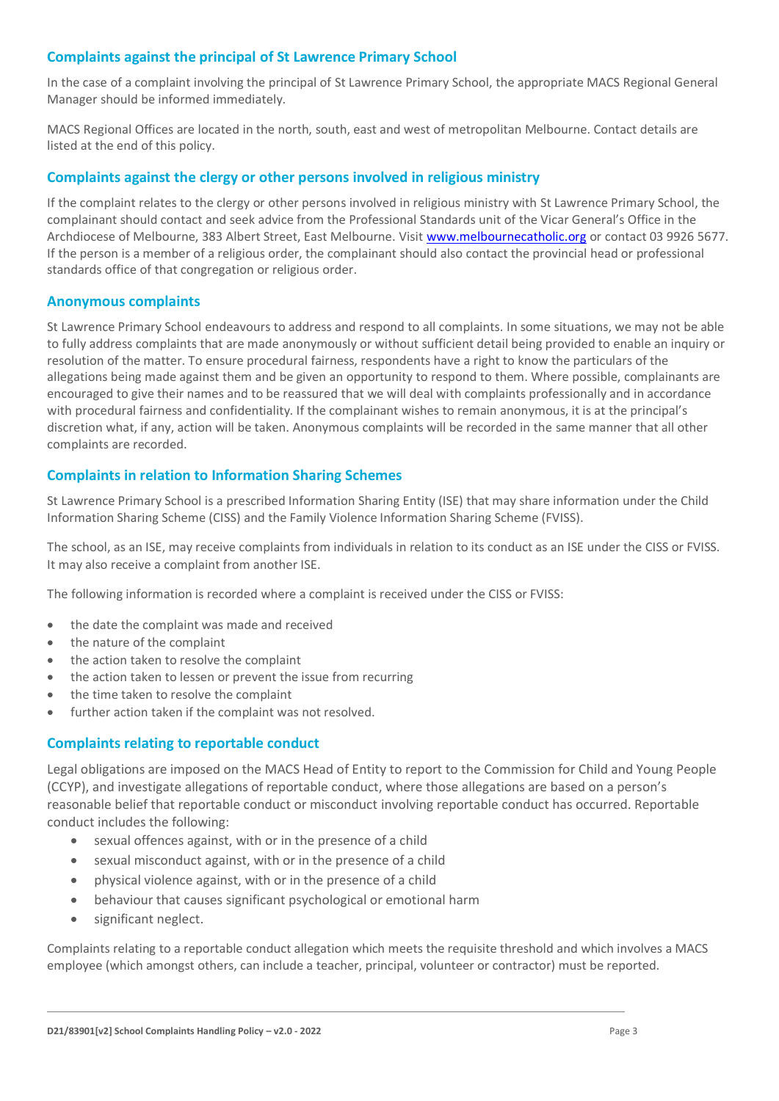### **Complaints against the principal of St Lawrence Primary School**

In the case of a complaint involving the principal of St Lawrence Primary School, the appropriate MACS Regional General Manager should be informed immediately.

MACS Regional Offices are located in the north, south, east and west of metropolitan Melbourne. Contact details are listed at the end of this policy.

#### **Complaints against the clergy or other persons involved in religious ministry**

If the complaint relates to the clergy or other persons involved in religious ministry with St Lawrence Primary School, the complainant should contact and seek advice from the Professional Standards unit of the Vicar General's Office in the Archdiocese of Melbourne, 383 Albert Street, East Melbourne. Visit [www.melbournecatholic.org](http://www.melbournecatholic.org/) or contact 03 9926 5677. If the person is a member of a religious order, the complainant should also contact the provincial head or professional standards office of that congregation or religious order.

#### **Anonymous complaints**

St Lawrence Primary School endeavours to address and respond to all complaints. In some situations, we may not be able to fully address complaints that are made anonymously or without sufficient detail being provided to enable an inquiry or resolution of the matter. To ensure procedural fairness, respondents have a right to know the particulars of the allegations being made against them and be given an opportunity to respond to them. Where possible, complainants are encouraged to give their names and to be reassured that we will deal with complaints professionally and in accordance with procedural fairness and confidentiality. If the complainant wishes to remain anonymous, it is at the principal's discretion what, if any, action will be taken. Anonymous complaints will be recorded in the same manner that all other complaints are recorded.

### **Complaints in relation to Information Sharing Schemes**

St Lawrence Primary School is a prescribed Information Sharing Entity (ISE) that may share information under the Child Information Sharing Scheme (CISS) and the Family Violence Information Sharing Scheme (FVISS).

The school, as an ISE, may receive complaints from individuals in relation to its conduct as an ISE under the CISS or FVISS. It may also receive a complaint from another ISE.

The following information is recorded where a complaint is received under the CISS or FVISS:

- the date the complaint was made and received
- the nature of the complaint
- the action taken to resolve the complaint
- the action taken to lessen or prevent the issue from recurring
- the time taken to resolve the complaint
- further action taken if the complaint was not resolved.

#### **Complaints relating to reportable conduct**

Legal obligations are imposed on the MACS Head of Entity to report to the Commission for Child and Young People (CCYP), and investigate allegations of reportable conduct, where those allegations are based on a person's reasonable belief that reportable conduct or misconduct involving reportable conduct has occurred. Reportable conduct includes the following:

- sexual offences against, with or in the presence of a child
- sexual misconduct against, with or in the presence of a child
- physical violence against, with or in the presence of a child
- behaviour that causes significant psychological or emotional harm
- significant neglect.

Complaints relating to a reportable conduct allegation which meets the requisite threshold and which involves a MACS employee (which amongst others, can include a teacher, principal, volunteer or contractor) must be reported.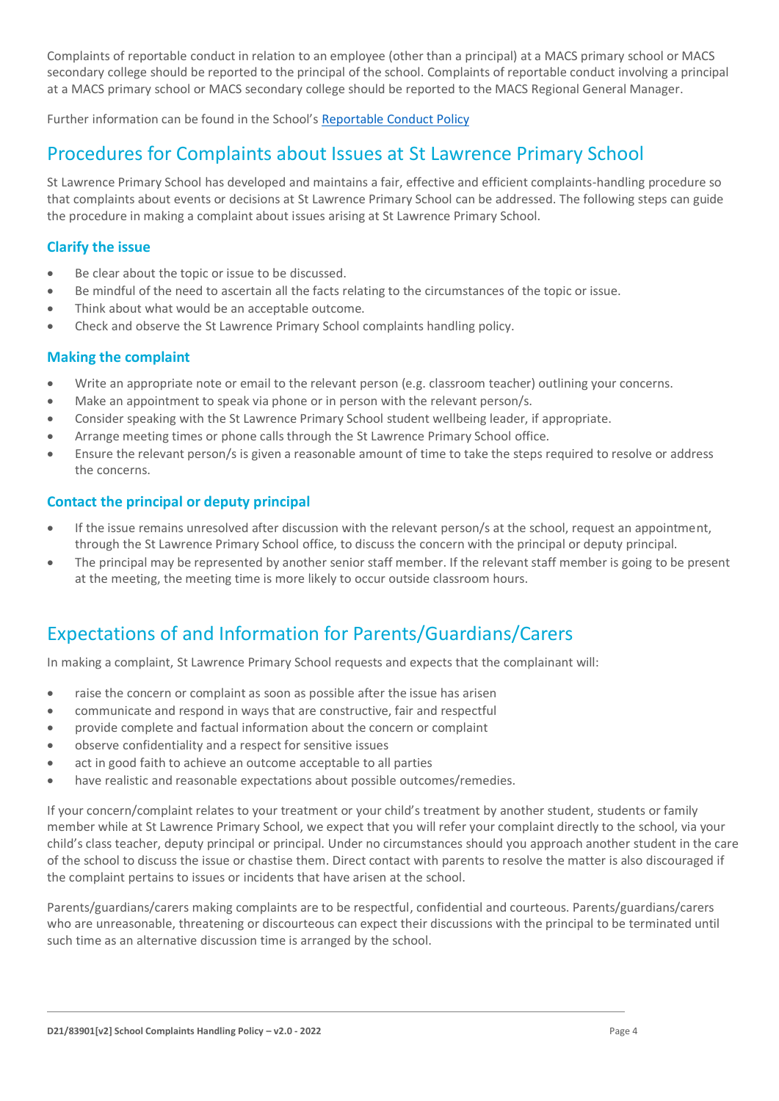Complaints of reportable conduct in relation to an employee (other than a principal) at a MACS primary school or MACS secondary college should be reported to the principal of the school. Complaints of reportable conduct involving a principal at a MACS primary school or MACS secondary college should be reported to the MACS Regional General Manager.

Further information can be found in the School's [Reportable Conduct Policy](/Users/jcorsaletti/Desktop/MACS%20policies/Reportable-Conduct-Policy-v2-0-2022%20(1).docx)

### Procedures for Complaints about Issues at St Lawrence Primary School

St Lawrence Primary School has developed and maintains a fair, effective and efficient complaints-handling procedure so that complaints about events or decisions at St Lawrence Primary School can be addressed. The following steps can guide the procedure in making a complaint about issues arising at St Lawrence Primary School.

### **Clarify the issue**

- Be clear about the topic or issue to be discussed.
- Be mindful of the need to ascertain all the facts relating to the circumstances of the topic or issue.
- Think about what would be an acceptable outcome.
- Check and observe the St Lawrence Primary School complaints handling policy.

### **Making the complaint**

- Write an appropriate note or email to the relevant person (e.g. classroom teacher) outlining your concerns.
- Make an appointment to speak via phone or in person with the relevant person/s.
- Consider speaking with the St Lawrence Primary School student wellbeing leader, if appropriate.
- Arrange meeting times or phone calls through the St Lawrence Primary School office.
- Ensure the relevant person/s is given a reasonable amount of time to take the steps required to resolve or address the concerns.

### **Contact the principal or deputy principal**

- If the issue remains unresolved after discussion with the relevant person/s at the school, request an appointment, through the St Lawrence Primary School office, to discuss the concern with the principal or deputy principal.
- The principal may be represented by another senior staff member. If the relevant staff member is going to be present at the meeting, the meeting time is more likely to occur outside classroom hours.

# Expectations of and Information for Parents/Guardians/Carers

In making a complaint, St Lawrence Primary School requests and expects that the complainant will:

- raise the concern or complaint as soon as possible after the issue has arisen
- communicate and respond in ways that are constructive, fair and respectful
- provide complete and factual information about the concern or complaint
- observe confidentiality and a respect for sensitive issues
- act in good faith to achieve an outcome acceptable to all parties
- have realistic and reasonable expectations about possible outcomes/remedies.

If your concern/complaint relates to your treatment or your child's treatment by another student, students or family member while at St Lawrence Primary School, we expect that you will refer your complaint directly to the school, via your child's class teacher, deputy principal or principal. Under no circumstances should you approach another student in the care of the school to discuss the issue or chastise them. Direct contact with parents to resolve the matter is also discouraged if the complaint pertains to issues or incidents that have arisen at the school.

Parents/guardians/carers making complaints are to be respectful, confidential and courteous. Parents/guardians/carers who are unreasonable, threatening or discourteous can expect their discussions with the principal to be terminated until such time as an alternative discussion time is arranged by the school.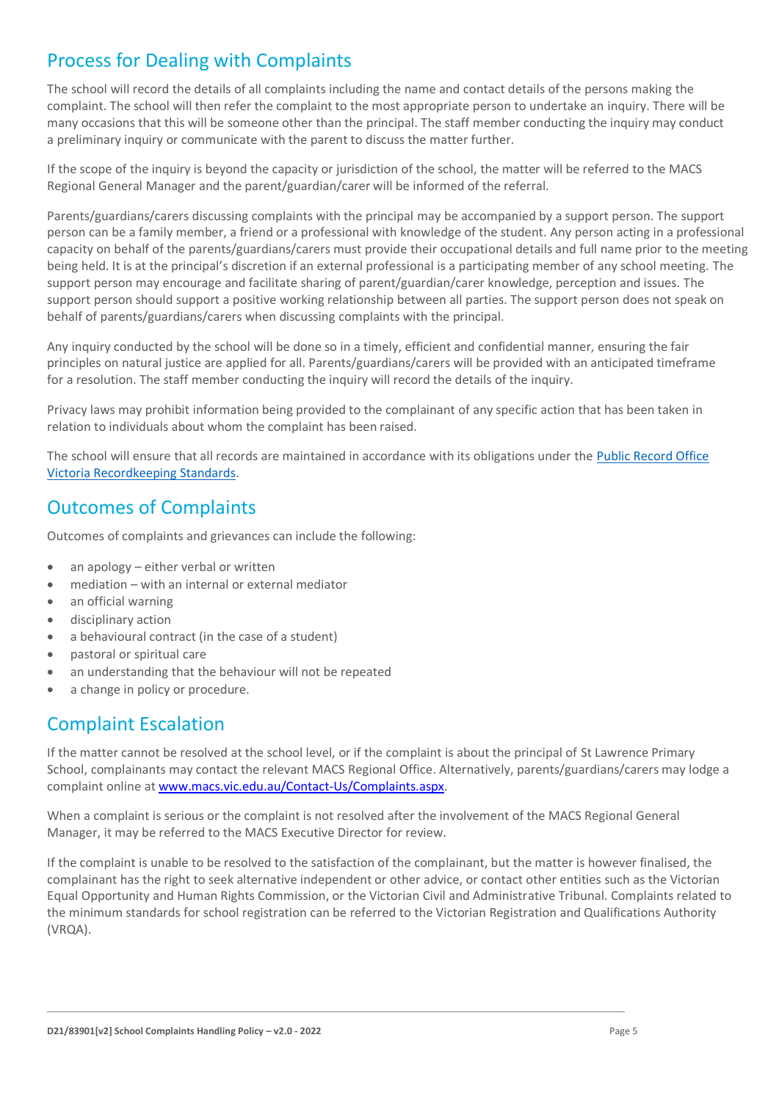# Process for Dealing with Complaints

The school will record the details of all complaints including the name and contact details of the persons making the complaint. The school will then refer the complaint to the most appropriate person to undertake an inquiry. There will be many occasions that this will be someone other than the principal. The staff member conducting the inquiry may conduct a preliminary inquiry or communicate with the parent to discuss the matter further.

If the scope of the inquiry is beyond the capacity or jurisdiction of the school, the matter will be referred to the MACS Regional General Manager and the parent/guardian/carer will be informed of the referral.

Parents/guardians/carers discussing complaints with the principal may be accompanied by a support person. The support person can be a family member, a friend or a professional with knowledge of the student. Any person acting in a professional capacity on behalf of the parents/guardians/carers must provide their occupational details and full name prior to the meeting being held. It is at the principal's discretion if an external professional is a participating member of any school meeting. The support person may encourage and facilitate sharing of parent/guardian/carer knowledge, perception and issues. The support person should support a positive working relationship between all parties. The support person does not speak on behalf of parents/guardians/carers when discussing complaints with the principal.

Any inquiry conducted by the school will be done so in a timely, efficient and confidential manner, ensuring the fair principles on natural justice are applied for all. Parents/guardians/carers will be provided with an anticipated timeframe for a resolution. The staff member conducting the inquiry will record the details of the inquiry.

Privacy laws may prohibit information being provided to the complainant of any specific action that has been taken in relation to individuals about whom the complaint has been raised.

The school will ensure that all records are maintained in accordance with its obligations under the [Public Record Office](https://prov.vic.gov.au/recordkeeping-government/standards-framework)  [Victoria Recordkeeping Standards.](https://prov.vic.gov.au/recordkeeping-government/standards-framework)

### Outcomes of Complaints

Outcomes of complaints and grievances can include the following:

- an apology either verbal or written
- mediation with an internal or external mediator
- an official warning
- disciplinary action
- a behavioural contract (in the case of a student)
- pastoral or spiritual care
- an understanding that the behaviour will not be repeated
- a change in policy or procedure.

# Complaint Escalation

If the matter cannot be resolved at the school level, or if the complaint is about the principal of St Lawrence Primary School, complainants may contact the relevant MACS Regional Office. Alternatively, parents/guardians/carers may lodge a complaint online a[t www.macs.vic.edu.au/Contact-Us/Complaints.aspx.](http://www.macs.vic.edu.au/Contact-Us/Complaints.aspx)

When a complaint is serious or the complaint is not resolved after the involvement of the MACS Regional General Manager, it may be referred to the MACS Executive Director for review.

If the complaint is unable to be resolved to the satisfaction of the complainant, but the matter is however finalised, the complainant has the right to seek alternative independent or other advice, or contact other entities such as the Victorian Equal Opportunity and Human Rights Commission, or the Victorian Civil and Administrative Tribunal. Complaints related to the minimum standards for school registration can be referred to the Victorian Registration and Qualifications Authority (VRQA).